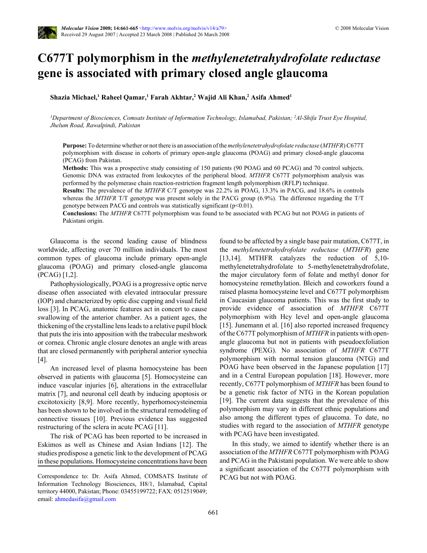

# **C677T polymorphism in the** *methylenetetrahydrofolate reductase* **gene is associated with primary closed angle glaucoma**

**Shazia Michael,<sup>1</sup> Raheel Qamar,<sup>1</sup> Farah Akhtar,<sup>2</sup> Wajid Ali Khan,<sup>2</sup> Asifa Ahmed<sup>1</sup>**

*<sup>1</sup>Department of Biosciences, Comsats Institute of Information Technology, Islamabad, Pakistan; <sup>2</sup>Al-Shifa Trust Eye Hospital, Jhelum Road, Rawalpindi, Pakistan*

**Purpose:** To determine whether or not there is an association of the *methylenetetrahydrofolate reductase* (*MTHFR*) C677T polymorphism with disease in cohorts of primary open-angle glaucoma (POAG) and primary closed-angle glaucoma (PCAG) from Pakistan.

**Methods:** This was a prospective study consisting of 150 patients (90 POAG and 60 PCAG) and 70 control subjects. Genomic DNA was extracted from leukocytes of the peripheral blood. *MTHFR* C677T polymorphism analysis was performed by the polymerase chain reaction-restriction fragment length polymorphism (RFLP) technique.

**Results:** The prevalence of the *MTHFR* C/T genotype was 22.2% in POAG, 13.3% in PACG, and 18.6% in controls whereas the *MTHFR* T/T genotype was present solely in the PACG group (6.9%). The difference regarding the T/T genotype between PACG and controls was statistically significant (p<0.01).

**Conclusions:** The *MTHFR* C677T polymorphism was found to be associated with PCAG but not POAG in patients of Pakistani origin.

Glaucoma is the second leading cause of blindness worldwide, affecting over 70 million individuals. The most common types of glaucoma include primary open-angle glaucoma (POAG) and primary closed-angle glaucoma (PCAG) [1,2].

Pathophysiologically, POAG is a progressive optic nerve disease often associated with elevated intraocular pressure (IOP) and characterized by optic disc cupping and visual field loss [3]. In PCAG, anatomic features act in concert to cause swallowing of the anterior chamber. As a patient ages, the thickening of the crystalline lens leads to a relative pupil block that puts the iris into apposition with the trabecular meshwork or cornea. Chronic angle closure denotes an angle with areas that are closed permanently with peripheral anterior synechia [4].

An increased level of plasma homocysteine has been observed in patients with glaucoma [5]. Homocysteine can induce vascular injuries [6], alterations in the extracellular matrix [7], and neuronal cell death by inducing apoptosis or excitotoxicity [8,9]. More recently, hyperhomocysteinemia has been shown to be involved in the structural remodeling of connective tissues [10]. Previous evidence has suggested restructuring of the sclera in acute PCAG [11].

The risk of PCAG has been reported to be increased in Eskimos as well as Chinese and Asian Indians [12]. The studies predispose a genetic link to the development of PCAG in these populations. Homocysteine concentrations have been found to be affected by a single base pair mutation, C677T, in the *methylenetetrahydrofolate reductase* (*MTHFR*) gene [13,14]. MTHFR catalyzes the reduction of 5,10methylenetetrahydrofolate to 5-methylenetetrahydrofolate, the major circulatory form of folate and methyl donor for homocysteine remethylation. Bleich and coworkers found a raised plasma homocysteine level and C677T polymorphism in Caucasian glaucoma patients. This was the first study to provide evidence of association of *MTHFR* C677T polymorphism with Hcy level and open-angle glaucoma [15]. Junemann et al. [16] also reported increased frequency of the C677T polymorphism of *MTHFR* in patients with openangle glaucoma but not in patients with pseudoexfoliation syndrome (PEXG). No association of *MTHFR* C677T polymorphism with normal tension glaucoma (NTG) and POAG have been observed in the Japanese population [17] and in a Central European population [18]. However, more recently, C677T polymorphism of *MTHFR* has been found to be a genetic risk factor of NTG in the Korean population [19]. The current data suggests that the prevalence of this polymorphism may vary in different ethnic populations and also among the different types of glaucoma. To date, no studies with regard to the association of *MTHFR* genotype with PCAG have been investigated.

In this study, we aimed to identify whether there is an association of the *MTHFR* C677T polymorphism with POAG and PCAG in the Pakistani population. We were able to show a significant association of the C677T polymorphism with PCAG but not with POAG.

Correspondence to: Dr. Asifa Ahmed, COMSATS Institute of Information Technology Biosciences, H8/1, Islamabad, Capital territory 44000, Pakistan; Phone: 03455199722; FAX: 0512519049; email: [ahmedasifa@gmail.com](mailto:ahmedasifa@gmail.com)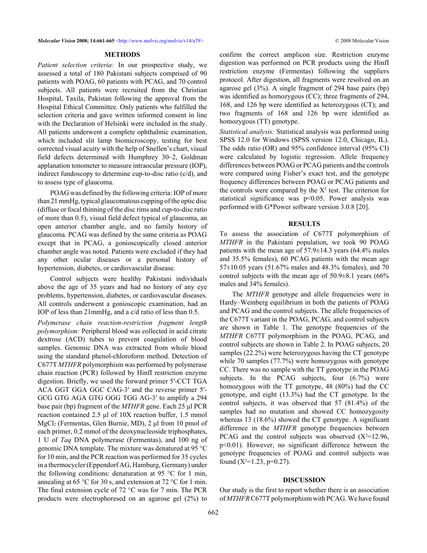#### **METHODS**

*Patient selection criteria:* In our prospective study, we assessed a total of 180 Pakistani subjects comprised of 90 patients with POAG, 60 patients with PCAG, and 70 control subjects. All patients were recruited from the Christian Hospital, Taxila, Pakistan following the approval from the Hospital Ethical Committee. Only patients who fulfilled the selection criteria and gave written informed consent in line with the Declaration of Helsinki were included in the study. All patients underwent a complete ophthalmic examination, which included slit lamp biomicroscopy, testing for best corrected visual acuity with the help of Snellen's chart, visual field defects determined with Humphrey 30–2, Goldman applanation tonometer to measure intraocular pressure (IOP), indirect fundoscopy to determine cup-to-disc ratio (c/d), and to assess type of glaucoma.

POAG was defined by the following criteria: IOP of more than 21 mmHg, typical glaucomatous cupping of the optic disc (diffuse or focal thinning of the disc rims and cup-to-disc ratio of more than 0.5), visual field defect typical of glaucoma, an open anterior chamber angle, and no family history of glaucoma. PCAG was defined by the same criteria as POAG except that in PCAG, a gonioscopically closed anterior chamber angle was noted. Patients were excluded if they had any other ocular diseases or a personal history of hypertension, diabetes, or cardiovascular disease.

Control subjects were healthy Pakistani individuals above the age of 35 years and had no history of any eye problems, hypertension, diabetes, or cardiovascular diseases. All controls underwent a gonioscopic examination, had an IOP of less than 21mmHg, and a c/d ratio of less than 0.5.

*Polymerase chain reaction-restriction fragment length polymorphism:* Peripheral blood was collected in acid citrate dextrose (ACD) tubes to prevent coagulation of blood samples. Genomic DNA was extracted from whole blood using the standard phenol-chloroform method. Detection of C677T *MTHFR* polymorphism was performed by polymerase chain reaction (PCR) followed by HinfI restriction enzyme digestion. Briefly, we used the forward primer 5′-CCT TGA ACA GGT GGA GGC CAG-3′ and the reverse primer 5′- GCG GTG AGA GTG GGG TGG AG-3′ to amplify a 294 base pair (bp) fragment of the *MTHFR* gene. Each 25 μl PCR reaction contained 2.5 μl of 10X reaction buffer, 1.5 mmol MgCl2 (Fermentas, Glen Burnie, MD), 2 μl from 10 pmol of each primer, 0.2 mmol of the deoxynucleoside triphosphates, 1 U of *Taq* DNA polymerase (Fermentas), and 100 ng of genomic DNA template. The mixture was denatured at 95 °C for 10 min, and the PCR reaction was performed for 35 cycles in a thermocycler (Eppendorf AG, Hamburg, Germany) under the following conditions: denaturation at 95 °C for 1 min, annealing at 65 °C for 30 s, and extension at 72 °C for 1 min. The final extension cycle of 72 °C was for 7 min. The PCR products were electrophoresed on an agarose gel (2%) to confirm the correct amplicon size. Restriction enzyme digestion was performed on PCR products using the HinfI restriction enzyme (Fermentas) following the suppliers protocol. After digestion, all fragments were resolved on an agarose gel (3%). A single fragment of 294 base pairs (bp) was identified as homozygous (CC); three fragments of 294, 168, and 126 bp were identified as heterozygous (CT); and two fragments of 168 and 126 bp were identified as homozygous (TT) genotype.

*Statistical analysis:* Statistical analysis was performed using SPSS 12.0 for Windows (SPSS version 12.0, Chicago, IL). The odds ratio (OR) and 95% confidence interval (95% CI) were calculated by logistic regression. Allele frequency differences between POAG or PCAG patients and the controls were compared using Fisher's exact test, and the genotype frequency differences between POAG or PCAG patients and the controls were compared by the  $X^2$  test. The criterion for statistical significance was p<0.05. Power analysis was performed with G\*Power software version 3.0.8 [20].

### **RESULTS**

To assess the association of C677T polymorphism of *MTHFR* in the Pakistani population, we took 90 POAG patients with the mean age of  $57.9 \pm 14.3$  years (64.4% males and 35.5% females), 60 PCAG patients with the mean age 57±10.05 years (51.67% males and 48.3% females), and 70 control subjects with the mean age of 50.9±8.1 years (66% males and 34% females).

The *MTHFR* genotype and allele frequencies were in Hardy–Weinberg equilibrium in both the patients of POAG and PCAG and the control subjects. The allele frequencies of the C677T variant in the POAG, PCAG, and control subjects are shown in Table 1. The genotype frequencies of the *MTHFR* C677T polymorphism in the POAG, PCAG, and control subjects are shown in Table 2. In POAG subjects, 20 samples (22.2%) were heterozygous having the CT genotype while 70 samples (77.7%) were homozygous with genotype CC. There was no sample with the TT genotype in the POAG subjects. In the PCAG subjects, four  $(6.7%)$  were homozygous with the TT genotype, 48 (80%) had the CC genotype, and eight (13.3%) had the CT genotype. In the control subjects, it was observed that 57 (81.4%) of the samples had no mutation and showed CC homozygosity whereas 13 (18.6%) showed the CT genotype. A significant difference in the *MTHFR* genotype frequencies between PCAG and the control subjects was observed  $(X^2=12.96,$ p<0.01). However, no significant difference between the genotype frequencies of POAG and control subjects was found  $(X^2=1.23, p=0.27)$ .

# **DISCUSSION**

Our study is the first to report whether there is an association of *MTHFR* C677T polymorphism with PCAG. We have found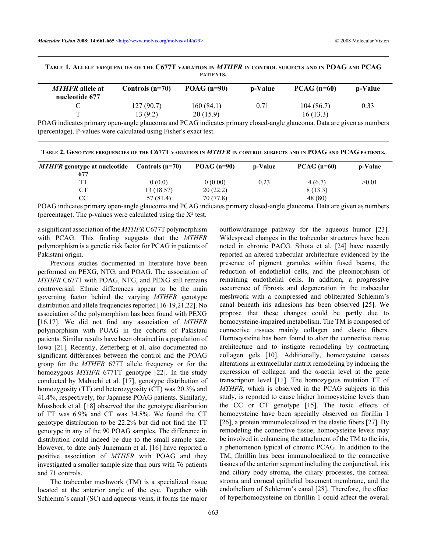TABLE 1. ALLELE FREQUENCIES OF THE C677T VARIATION IN MTHFR IN CONTROL SUBJECTS AND IN POAG AND PCAG **PATIENTS.**

| <b>MTHFR</b> allele at<br>nucleotide 677 | Controls $(n=70)$ | $POAG (n=90)$       | <b>p-Value</b> | $PCAG$ (n=60) | <b>p-Value</b> |
|------------------------------------------|-------------------|---------------------|----------------|---------------|----------------|
|                                          | 127(90.7)         | 160(84.1)           | 0.71           | 104(86.7)     | 0.33           |
|                                          | 13 (9.2)          | 20(15.9)            |                | 16(13.3)      |                |
|                                          |                   | $1 \cdot 2 \cdot 1$ |                |               |                |

POAG indicates primary open-angle glaucoma and PCAG indicates primary closed-angle glaucoma. Data are given as numbers (percentage). P-values were calculated using Fisher's exact test.

| Controls $(n=70)$ | POAG $(n=90)$ | p-Value | $PCAG(n=60)$ | p-Value |
|-------------------|---------------|---------|--------------|---------|
|                   |               |         |              |         |
| 0(0.0)            | 0(0.00)       | 0.23    | 4(6.7)       | >0.01   |
| 13 (18.57)        | 20(22.2)      |         | 8(13.3)      |         |
| 57 (81.4)         | 70 (77.8)     |         | 48 (80)      |         |
|                   |               |         |              |         |

POAG indicates primary open-angle glaucoma and PCAG indicates primary closed-angle glaucoma. Data are given as numbers (percentage). The p-values were calculated using the  $X^2$  test.

a significant association of the *MTHFR* C677T polymorphism with PCAG. This finding suggests that the *MTHFR* polymorphism is a genetic risk factor for PCAG in patients of Pakistani origin.

Previous studies documented in literature have been performed on PEXG, NTG, and POAG. The association of *MTHFR* C677T with POAG, NTG, and PEXG still remains controversial. Ethnic differences appear to be the main governing factor behind the varying *MTHFR* genotype distribution and allele frequencies reported [16-19,21,22]. No association of the polymorphism has been found with PEXG [16,17]. We did not find any association of *MTHFR* polymorphism with POAG in the cohorts of Pakistani patients. Similar results have been obtained in a population of Iowa [21]. Recently, Zetterberg et al. also documented no significant differences between the control and the POAG group for the *MTHFR* 677T allele frequency or for the homozygous *MTHFR* 677TT genotype [22]. In the study conducted by Mabuchi et al. [17], genotype distribution of homozygosity (TT) and heterozygosity (CT) was 20.3% and 41.4%, respectively, for Japanese POAG patients. Similarly, Mossbock et al. [18] observed that the genotype distribution of TT was 6.9% and CT was 34.8%. We found the CT genotype distribution to be 22.2% but did not find the TT genotype in any of the 90 POAG samples. The difference in distribution could indeed be due to the small sample size. However, to date only Junemann et al. [16] have reported a positive association of *MTHFR* with POAG and they investigated a smaller sample size than ours with 76 patients and 71 controls.

The trabecular meshwork (TM) is a specialized tissue located at the anterior angle of the eye. Together with Schlemm's canal (SC) and aqueous veins, it forms the major outflow/drainage pathway for the aqueous humor [23]. Widespread changes in the trabecular structures have been noted in chronic PACG. Sihota et al. [24] have recently reported an altered trabecular architecture evidenced by the presence of pigment granules within fused beams, the reduction of endothelial cells, and the pleomorphism of remaining endothelial cells. In addition, a progressive occurrence of fibrosis and degeneration in the trabecular meshwork with a compressed and obliterated Schlemm's canal beneath iris adhesions has been observed [25]. We propose that these changes could be partly due to homocysteine-impaired metabolism. The TM is composed of connective tissues mainly collagen and elastic fibers. Homocysteine has been found to alter the connective tissue architecture and to instigate remodeling by contracting collagen gels [10]. Additionally, homocysteine causes alterations in extracellular matrix remodeling by inducing the expression of collagen and the  $\alpha$ -actin level at the gene transcription level [11]. The homozygous mutation TT of *MTHFR*, which is observed in the PCAG subjects in this study, is reported to cause higher homocysteine levels than the CC or CT genotype [15]. The toxic effects of homocysteine have been specially observed on fibrillin 1 [26], a protein immunolocalized in the elastic fibers [27]. By remodeling the connective tissue, homocysteine levels may be involved in enhancing the attachment of the TM to the iris, a phenomenon typical of chronic PCAG. In addition to the TM, fibrillin has been immunolocalized to the connective tissues of the anterior segment including the conjunctival, iris and ciliary body stroma, the ciliary processes, the corneal stroma and corneal epithelial basement membrane, and the endothelium of Schlemm's canal [28]. Therefore, the effect of hyperhomocysteine on fibrillin 1 could affect the overall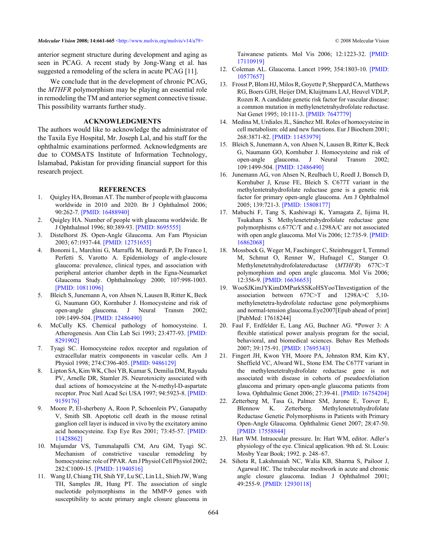*Molecular Vision* 2008; 14:661-665 [<http://www.molvis.org/molvis/v14/a79>](http://www.molvis.org/molvis/v14/a79) © 2008 Molecular Vision

anterior segment structure during development and aging as seen in PCAG. A recent study by Jong-Wang et al. has suggested a remodeling of the sclera in acute PCAG [11].

We conclude that in the development of chronic PCAG, the *MTHFR* polymorphism may be playing an essential role in remodeling the TM and anterior segment connective tissue. This possibility warrants further study.

# **ACKNOWLEDGMENTS**

The authors would like to acknowledge the administrator of the Taxila Eye Hospital, Mr. Joseph Lal, and his staff for the ophthalmic examinations performed. Acknowledgments are due to COMSATS Institute of Information Technology, Islamabad, Pakistan for providing financial support for this research project.

#### **REFERENCES**

- 1. Quigley HA, Broman AT. The number of people with glaucoma worldwide in 2010 and 2020. Br J Ophthalmol 2006; 90:262-7. [\[PMID: 16488940\]](http://www.ncbi.nlm.nih.gov/entrez/query.fcgi?cmd=Retrieve&db=PubMed&dopt=abstract&list_uids=16488940)
- 2. Quigley HA. Number of people with glaucoma worldwide. Br J Ophthalmol 1996; 80:389-93[. \[PMID: 8695555\]](http://www.ncbi.nlm.nih.gov/entrez/query.fcgi?cmd=Retrieve&db=PubMed&dopt=abstract&list_uids=8695555)
- 3. Distelhorst JS. Open-Angle Glaucoma. Am Fam Physician 2003; 67:1937-44. [\[PMID: 12751655\]](http://www.ncbi.nlm.nih.gov/entrez/query.fcgi?cmd=Retrieve&db=PubMed&dopt=abstract&list_uids=12751655)
- 4. Bonomi L, Marchini G, Marraffa M, Bernardi P, De Franco I, Perfetti S, Varotto A. Epidemiology of angle-closure glaucoma: prevalence, clinical types, and association with peripheral anterior chamber depth in the Egna-Neumarket Glaucoma Study. Ophthalmology 2000; 107:998-1003. [\[PMID: 10811096\]](http://www.ncbi.nlm.nih.gov/entrez/query.fcgi?cmd=Retrieve&db=PubMed&dopt=abstract&list_uids=10811096)
- 5. Bleich S, Junemann A, von Ahsen N, Lausen B, Ritter K, Beck G, Naumann GO, Kornhuber J. Homocysteine and risk of open-angle glaucoma. J Neural Transm 2002; 109:1499-504. [\[PMID: 12486490\]](http://www.ncbi.nlm.nih.gov/entrez/query.fcgi?cmd=Retrieve&db=PubMed&dopt=abstract&list_uids=12486490)
- 6. McCully KS. Chemical pathology of homocysteine. I. Atherogenesis. Ann Clin Lab Sci 1993; 23:477-93[. \[PMID:](http://www.ncbi.nlm.nih.gov/entrez/query.fcgi?cmd=Retrieve&db=PubMed&dopt=abstract&list_uids=8291902) [8291902\]](http://www.ncbi.nlm.nih.gov/entrez/query.fcgi?cmd=Retrieve&db=PubMed&dopt=abstract&list_uids=8291902)
- 7. Tyagi SC. Homocysteine redox receptor and regulation of extracellular matrix components in vascular cells. Am J Physiol 1998; 274:C396-405[. \[PMID: 9486129\]](http://www.ncbi.nlm.nih.gov/entrez/query.fcgi?cmd=Retrieve&db=PubMed&dopt=abstract&list_uids=9486129)
- 8. Lipton SA, Kim WK, Choi YB, Kumar S, Demilia DM, Rayudu PV, Arnelle DR, Stamler JS. Neurotoxicity associated with dual actions of homocysteine at the N-methyl-D-aspartate receptor. Proc Natl Acad Sci USA 1997; 94:5923-8. [\[PMID:](http://www.ncbi.nlm.nih.gov/entrez/query.fcgi?cmd=Retrieve&db=PubMed&dopt=abstract&list_uids=9159176) [9159176\]](http://www.ncbi.nlm.nih.gov/entrez/query.fcgi?cmd=Retrieve&db=PubMed&dopt=abstract&list_uids=9159176)
- 9. Moore P, El-sherbeny A, Roon P, Schoenlein PV, Ganapathy V, Smith SB. Apoptotic cell death in the mouse retinal ganglion cell layer is induced in vivo by the excitatory amino acid homocysteine. Exp Eye Res 2001; 73:45-57[. \[PMID:](http://www.ncbi.nlm.nih.gov/entrez/query.fcgi?cmd=Retrieve&db=PubMed&dopt=abstract&list_uids=11428862) [11428862\]](http://www.ncbi.nlm.nih.gov/entrez/query.fcgi?cmd=Retrieve&db=PubMed&dopt=abstract&list_uids=11428862)
- 10. Mujumdar VS, Tummalapalli CM, Aru GM, Tyagi SC. Mechanism of constrictive vascular remodeling by homocysteine: role of PPAR. Am J Physiol Cell Physiol 2002; 282:C1009-15[. \[PMID: 11940516\]](http://www.ncbi.nlm.nih.gov/entrez/query.fcgi?cmd=Retrieve&db=PubMed&dopt=abstract&list_uids=11940516)
- 11. Wang IJ, Chiang TH, Shih YF, Lu SC, Lin LL, Shieh JW, Wang TH, Samples JR, Hung PT. The association of single nucleotide polymorphisms in the MMP-9 genes with susceptibility to acute primary angle closure glaucoma in

Taiwanese patients. Mol Vis 2006; 12:1223-32[. \[PMID:](http://www.ncbi.nlm.nih.gov/entrez/query.fcgi?cmd=Retrieve&db=PubMed&dopt=abstract&list_uids=17110919) [17110919\]](http://www.ncbi.nlm.nih.gov/entrez/query.fcgi?cmd=Retrieve&db=PubMed&dopt=abstract&list_uids=17110919)

- 12. Coleman AL. Glaucoma. Lancet 1999; 354:1803-10[. \[PMID:](http://www.ncbi.nlm.nih.gov/entrez/query.fcgi?cmd=Retrieve&db=PubMed&dopt=abstract&list_uids=10577657) [10577657\]](http://www.ncbi.nlm.nih.gov/entrez/query.fcgi?cmd=Retrieve&db=PubMed&dopt=abstract&list_uids=10577657)
- 13. Frosst P, Blom HJ, Milos R, Goyette P, Sheppard CA, Matthews RG, Boers GJH, Heijer DM, Kluijtmans LAJ, Heuvel VDLP, Rozen R. A candidate genetic risk factor for vascular disease: a common mutation in methylenetetrahydrofolate reductase. Nat Genet 1995; 10:111-3. [\[PMID: 7647779\]](http://www.ncbi.nlm.nih.gov/entrez/query.fcgi?cmd=Retrieve&db=PubMed&dopt=abstract&list_uids=7647779)
- 14. Medina M, Urdiales JL, Sánchez MI. Roles of homocysteine in cell metabolism: old and new functions. Eur J Biochem 2001; 268:3871-82[. \[PMID: 11453979\]](http://www.ncbi.nlm.nih.gov/entrez/query.fcgi?cmd=Retrieve&db=PubMed&dopt=abstract&list_uids=11453979)
- 15. Bleich S, Junemann A, von Ahsen N, Lausen B, Ritter K, Beck G, Naumann GO, Kornhuber J. Homocysteine and risk of open-angle glaucoma. J Neural Transm 2002; 109:1499-504. [\[PMID: 12486490\]](http://www.ncbi.nlm.nih.gov/entrez/query.fcgi?cmd=Retrieve&db=PubMed&dopt=abstract&list_uids=12486490)
- 16. Junemann AG, von Ahsen N, Reulbach U, Roedl J, Bonsch D, Kornhuber J, Kruse FE, Bleich S. C677T variant in the methylentetrahydrofolate reductase gene is a genetic risk factor for primary open-angle glaucoma. Am J Ophthalmol 2005; 139:721-3[. \[PMID: 15808177\]](http://www.ncbi.nlm.nih.gov/entrez/query.fcgi?cmd=Retrieve&db=PubMed&dopt=abstract&list_uids=15808177)
- 17. Mabuchi F, Tang S, Kashiwagi K, Yamagata Z, Iijima H, Tsukahara S. Methylenetetrahydrofolate reductase gene polymorphisms c.677C/T and c.1298A/C are not associated with open angle glaucoma. Mol Vis 2006; 12:735-9. [\[PMID:](http://www.ncbi.nlm.nih.gov/entrez/query.fcgi?cmd=Retrieve&db=PubMed&dopt=abstract&list_uids=16862068) [16862068\]](http://www.ncbi.nlm.nih.gov/entrez/query.fcgi?cmd=Retrieve&db=PubMed&dopt=abstract&list_uids=16862068)
- 18. Mossbock G, Weger M, Faschinger C, Steinbrugger I, Temmel M, Schmut O, Renner W, Hufnagel C, Stanger O. Methylenetetrahydrofolatereductase (*MTHFR*) 677C>T polymorphism and open angle glaucoma. Mol Vis 2006; 12:356-9. [\[PMID: 16636653\]](http://www.ncbi.nlm.nih.gov/entrez/query.fcgi?cmd=Retrieve&db=PubMed&dopt=abstract&list_uids=16636653)
- 19. WooSJKimJYKimDMParkSSKoHSYooTInvestigation of the association between 677C>T and 1298A>C 5,10 methylenetetra-hydrofolate reductase gene polymorphisms and normal-tension glaucoma.Eye2007[Epub ahead of print] [PubMed: 17618244]
- 20. Faul F, Erdfelder E, Lang AG, Buchner AG. \*Power 3: A flexible statistical power analysis program for the social, behavioral, and biomedical sciences. Behav Res Methods 2007; 39:175-91[. \[PMID: 17695343\]](http://www.ncbi.nlm.nih.gov/entrez/query.fcgi?cmd=Retrieve&db=PubMed&dopt=abstract&list_uids=17695343)
- 21. Fingert JH, Kwon YH, Moore PA, Johnston RM, Kim KY, Sheffield VC, Alward WL, Stone EM. The C677T variant in the methylenetetrahydrofolate reductase gene is not associated with disease in cohorts of pseudoexfoliation glaucoma and primary open-angle glaucoma patients from Iowa. Ophthalmic Genet 2006; 27:39-41[. \[PMID: 16754204\]](http://www.ncbi.nlm.nih.gov/entrez/query.fcgi?cmd=Retrieve&db=PubMed&dopt=abstract&list_uids=16754204)
- 22. Zetterberg M, Tasa G, Palmer SM, Jurone E, Toover E, Blennow K. Zetterberg. Methylenetetrahydrofolate Reductase Genetic Polymorphisms in Patients with Primary Open-Angle Glaucoma. Ophthalmic Genet 2007; 28:47-50. [\[PMID: 17558844\]](http://www.ncbi.nlm.nih.gov/entrez/query.fcgi?cmd=Retrieve&db=PubMed&dopt=abstract&list_uids=17558844)
- 23. Hart WM. Intraocular pressure. In: Hart WM, editor. Adler's physiology of the eye. Clinical application. 9th ed. St. Louis: Mosby Year Book; 1992. p. 248–67.
- 24. Sihota R, Lakshmaiah NC, Walia KB, Sharma S, Pailoor J, Agarwal HC. The trabecular meshwork in acute and chronic angle closure glaucoma. Indian J Ophthalmol 2001; 49:255-9. [\[PMID: 12930118\]](http://www.ncbi.nlm.nih.gov/entrez/query.fcgi?cmd=Retrieve&db=PubMed&dopt=abstract&list_uids=12930118)